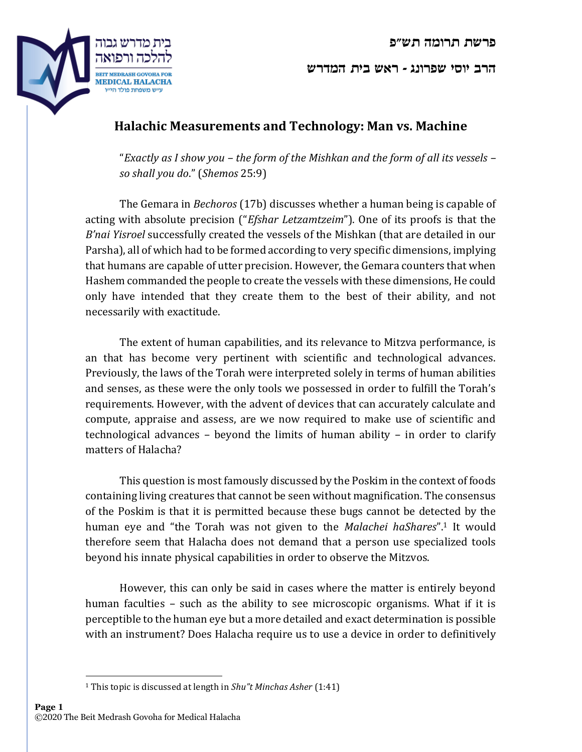**פרשת תרומה תש"פ** 



**הרב יוסי שפרונג - ראש בית המדרש** 

## **Halachic Measurements and Technology: Man vs. Machine**

"*Exactly as I show you – the form of the Mishkan and the form of all its vessels – so shall you do*." (*Shemos* 25:9)

The Gemara in *Bechoros* (17b) discusses whether a human being is capable of acting with absolute precision ("*Efshar Letzamtzeim*"). One of its proofs is that the *B'nai Yisroel* successfully created the vessels of the Mishkan (that are detailed in our Parsha), all of which had to be formed according to very specific dimensions, implying that humans are capable of utter precision. However, the Gemara counters that when Hashem commanded the people to create the vessels with these dimensions, He could only have intended that they create them to the best of their ability, and not necessarily with exactitude.

The extent of human capabilities, and its relevance to Mitzva performance, is an that has become very pertinent with scientific and technological advances. Previously, the laws of the Torah were interpreted solely in terms of human abilities and senses, as these were the only tools we possessed in order to fulfill the Torah's requirements. However, with the advent of devices that can accurately calculate and compute, appraise and assess, are we now required to make use of scientific and technological advances – beyond the limits of human ability – in order to clarify matters of Halacha?

This question is most famously discussed by the Poskim in the context of foods containing living creatures that cannot be seen without magnification. The consensus of the Poskim is that it is permitted because these bugs cannot be detected by the human eye and "the Torah was not given to the *Malachei haShares*".<sup>1</sup> It would therefore seem that Halacha does not demand that a person use specialized tools beyond his innate physical capabilities in order to observe the Mitzvos.

However, this can only be said in cases where the matter is entirely beyond human faculties – such as the ability to see microscopic organisms. What if it is perceptible to the human eye but a more detailed and exact determination is possible with an instrument? Does Halacha require us to use a device in order to definitively

<sup>1</sup> This topic is discussed at length in *Shu"t Minchas Asher* (1:41)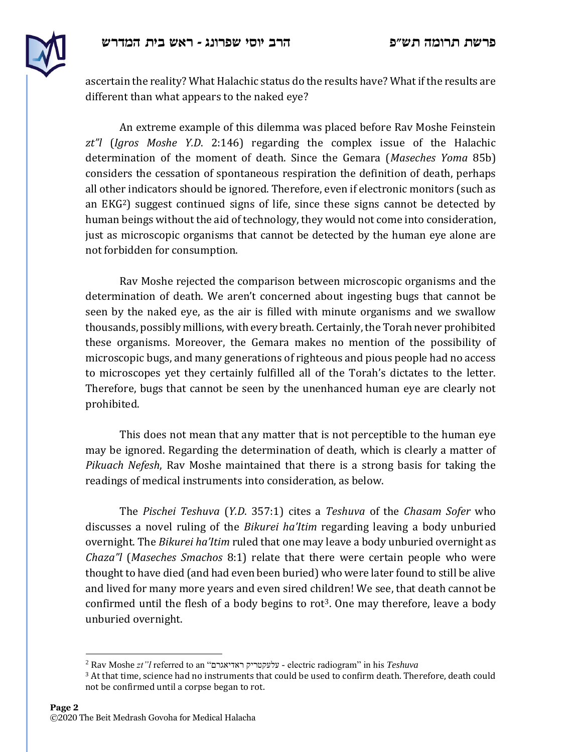

ascertain the reality? What Halachic status do the results have? What if the results are different than what appears to the naked eye?

An extreme example of this dilemma was placed before Rav Moshe Feinstein *zt"l* (*Igros Moshe Y.D*. 2:146) regarding the complex issue of the Halachic determination of the moment of death. Since the Gemara (*Maseches Yoma* 85b) considers the cessation of spontaneous respiration the definition of death, perhaps all other indicators should be ignored. Therefore, even if electronic monitors (such as an EKG2) suggest continued signs of life, since these signs cannot be detected by human beings without the aid of technology, they would not come into consideration, just as microscopic organisms that cannot be detected by the human eye alone are not forbidden for consumption.

Rav Moshe rejected the comparison between microscopic organisms and the determination of death. We aren't concerned about ingesting bugs that cannot be seen by the naked eye, as the air is filled with minute organisms and we swallow thousands, possibly millions, with every breath. Certainly, the Torah never prohibited these organisms. Moreover, the Gemara makes no mention of the possibility of microscopic bugs, and many generations of righteous and pious people had no access to microscopes yet they certainly fulfilled all of the Torah's dictates to the letter. Therefore, bugs that cannot be seen by the unenhanced human eye are clearly not prohibited.

This does not mean that any matter that is not perceptible to the human eye may be ignored. Regarding the determination of death, which is clearly a matter of *Pikuach Nefesh*, Rav Moshe maintained that there is a strong basis for taking the readings of medical instruments into consideration, as below.

The *Pischei Teshuva* (*Y.D*. 357:1) cites a *Teshuva* of the *Chasam Sofer* who discusses a novel ruling of the *Bikurei ha'Itim* regarding leaving a body unburied overnight. The *Bikurei ha'Itim* ruled that one may leave a body unburied overnight as *Chaza"l* (*Maseches Smachos* 8:1) relate that there were certain people who were thought to have died (and had even been buried) who were later found to still be alive and lived for many more years and even sired children! We see, that death cannot be confirmed until the flesh of a body begins to rot<sup>3</sup>. One may therefore, leave a body unburied overnight.

<sup>2</sup> Rav Moshe *zt"l* referred to an "ראדיאגרם עלעקטריק - electric radiogram" in his *Teshuva*

 $3$  At that time, science had no instruments that could be used to confirm death. Therefore, death could not be confirmed until a corpse began to rot.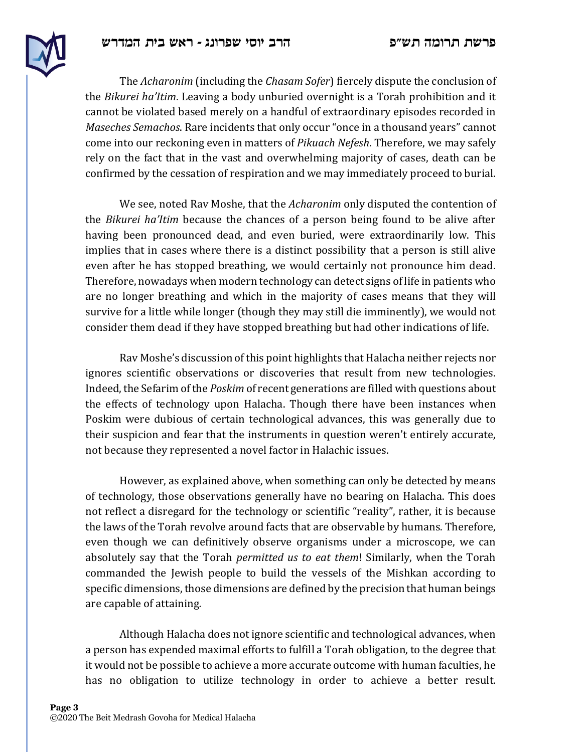

The *Acharonim* (including the *Chasam Sofer*) fiercely dispute the conclusion of the *Bikurei ha'Itim*. Leaving a body unburied overnight is a Torah prohibition and it cannot be violated based merely on a handful of extraordinary episodes recorded in *Maseches Semachos*. Rare incidents that only occur "once in a thousand years" cannot come into our reckoning even in matters of *Pikuach Nefesh*. Therefore, we may safely rely on the fact that in the vast and overwhelming majority of cases, death can be confirmed by the cessation of respiration and we may immediately proceed to burial.

We see, noted Rav Moshe, that the *Acharonim* only disputed the contention of the *Bikurei ha'Itim* because the chances of a person being found to be alive after having been pronounced dead, and even buried, were extraordinarily low. This implies that in cases where there is a distinct possibility that a person is still alive even after he has stopped breathing, we would certainly not pronounce him dead. Therefore, nowadays when modern technology can detect signs of life in patients who are no longer breathing and which in the majority of cases means that they will survive for a little while longer (though they may still die imminently), we would not consider them dead if they have stopped breathing but had other indications of life.

Rav Moshe's discussion of this point highlights that Halacha neither rejects nor ignores scientific observations or discoveries that result from new technologies. Indeed, the Sefarim of the *Poskim* of recent generations are filled with questions about the effects of technology upon Halacha. Though there have been instances when Poskim were dubious of certain technological advances, this was generally due to their suspicion and fear that the instruments in question weren't entirely accurate, not because they represented a novel factor in Halachic issues.

However, as explained above, when something can only be detected by means of technology, those observations generally have no bearing on Halacha. This does not reflect a disregard for the technology or scientific "reality", rather, it is because the laws of the Torah revolve around facts that are observable by humans. Therefore, even though we can definitively observe organisms under a microscope, we can absolutely say that the Torah *permitted us to eat them*! Similarly, when the Torah commanded the Jewish people to build the vessels of the Mishkan according to specific dimensions, those dimensions are defined by the precision that human beings are capable of attaining*.*

Although Halacha does not ignore scientific and technological advances, when a person has expended maximal efforts to fulfill a Torah obligation, to the degree that it would not be possible to achieve a more accurate outcome with human faculties, he has no obligation to utilize technology in order to achieve a better result.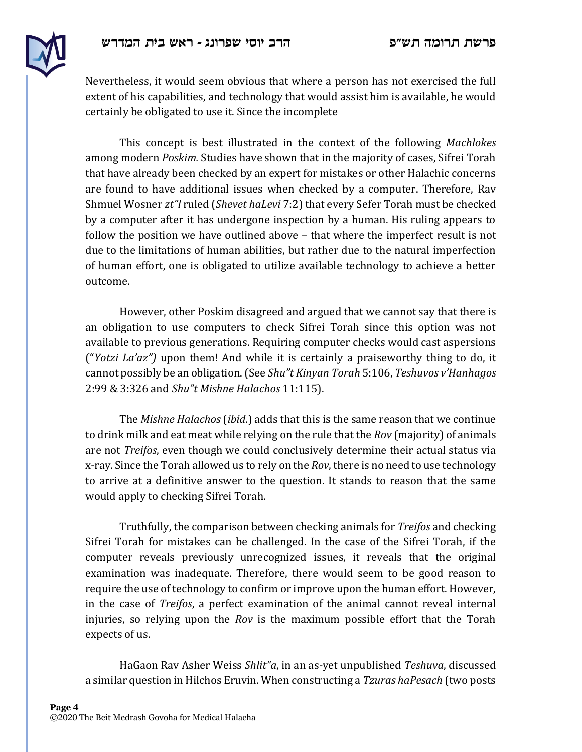

Nevertheless, it would seem obvious that where a person has not exercised the full extent of his capabilities, and technology that would assist him is available, he would certainly be obligated to use it. Since the incomplete

This concept is best illustrated in the context of the following *Machlokes*  among modern *Poskim.* Studies have shown that in the majority of cases, Sifrei Torah that have already been checked by an expert for mistakes or other Halachic concerns are found to have additional issues when checked by a computer. Therefore, Rav Shmuel Wosner *zt"l* ruled (*Shevet haLevi* 7:2) that every Sefer Torah must be checked by a computer after it has undergone inspection by a human. His ruling appears to follow the position we have outlined above – that where the imperfect result is not due to the limitations of human abilities, but rather due to the natural imperfection of human effort, one is obligated to utilize available technology to achieve a better outcome.

However, other Poskim disagreed and argued that we cannot say that there is an obligation to use computers to check Sifrei Torah since this option was not available to previous generations. Requiring computer checks would cast aspersions ("*Yotzi La'az")* upon them! And while it is certainly a praiseworthy thing to do, it cannot possibly be an obligation. (See *Shu"t Kinyan Torah* 5:106, *Teshuvos v'Hanhagos* 2:99 & 3:326 and *Shu"t Mishne Halachos* 11:115).

The *Mishne Halachos* (*ibid*.) adds that this is the same reason that we continue to drink milk and eat meat while relying on the rule that the *Rov* (majority) of animals are not *Treifos*, even though we could conclusively determine their actual status via x-ray. Since the Torah allowed us to rely on the *Rov*, there is no need to use technology to arrive at a definitive answer to the question. It stands to reason that the same would apply to checking Sifrei Torah.

Truthfully, the comparison between checking animals for *Treifos* and checking Sifrei Torah for mistakes can be challenged. In the case of the Sifrei Torah, if the computer reveals previously unrecognized issues, it reveals that the original examination was inadequate. Therefore, there would seem to be good reason to require the use of technology to confirm or improve upon the human effort. However, in the case of *Treifos*, a perfect examination of the animal cannot reveal internal injuries, so relying upon the *Rov* is the maximum possible effort that the Torah expects of us.

HaGaon Rav Asher Weiss *Shlit"a*, in an as-yet unpublished *Teshuva*, discussed a similar question in Hilchos Eruvin. When constructing a *Tzuras haPesach* (two posts